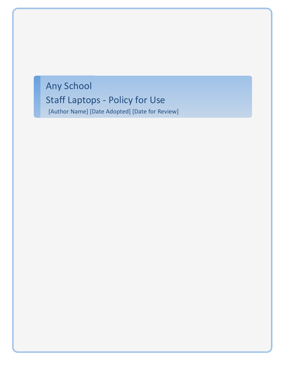# Any School Staff Laptops - Policy for Use [Author Name] [Date Adopted] [Date for Review]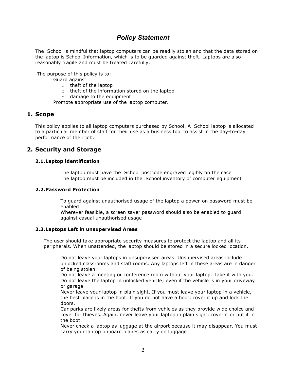## *Policy Statement*

The School is mindful that laptop computers can be readily stolen and that the data stored on the laptop is School Information, which is to be guarded against theft. Laptops are also reasonably fragile and must be treated carefully.

The purpose of this policy is to:

Guard against

- o theft of the laptop
- o theft of the information stored on the laptop
- o damage to the equipment

Promote appropriate use of the laptop computer.

## **1. Scope**

This policy applies to all laptop computers purchased by School. A School laptop is allocated to a particular member of staff for their use as a business tool to assist in the day-to-day performance of their job.

## **2. Security and Storage**

#### **2.1.Laptop identification**

 The laptop must have the School postcode engraved legibly on the case The laptop must be included in the School inventory of computer equipment

#### **2.2.Password Protection**

 To guard against unauthorised usage of the laptop a power-on password must be enabled

 Wherever feasible, a screen saver password should also be enabled to guard against casual unauthorised usage

#### **2.3.Laptops Left in unsupervised Areas**

The user should take appropriate security measures to protect the laptop and all its peripherals. When unattended, the laptop should be stored in a secure locked location.

 Do not leave your laptops in unsupervised areas. Unsupervised areas include unlocked classrooms and staff rooms. Any laptops left in these areas are in danger of being stolen.

 Do not leave a meeting or conference room without your laptop. Take it with you. Do not leave the laptop in unlocked vehicle; even if the vehicle is in your driveway or garage

 Never leave your laptop in plain sight. If you must leave your laptop in a vehicle, the best place is in the boot. If you do not have a boot, cover it up and lock the doors.

 Car parks are likely areas for thefts from vehicles as they provide wide choice and cover for thieves. Again, never leave your laptop in plain sight, cover it or put it in the boot.

 Never check a laptop as luggage at the airport because it may disappear. You must carry your laptop onboard planes as carry on luggage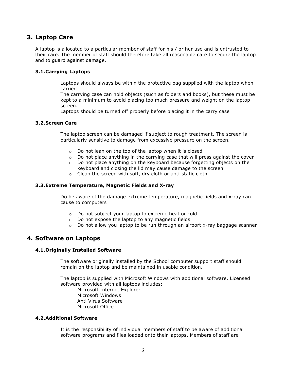## **3. Laptop Care**

A laptop is allocated to a particular member of staff for his / or her use and is entrusted to their care. The member of staff should therefore take all reasonable care to secure the laptop and to guard against damage.

#### **3.1.Carrying Laptops**

 Laptops should always be within the protective bag supplied with the laptop when carried

 The carrying case can hold objects (such as folders and books), but these must be kept to a minimum to avoid placing too much pressure and weight on the laptop screen.

Laptops should be turned off properly before placing it in the carry case

#### **3.2.Screen Care**

 The laptop screen can be damaged if subject to rough treatment. The screen is particularly sensitive to damage from excessive pressure on the screen.

- o Do not lean on the top of the laptop when it is closed
- $\circ$  Do not place anything in the carrying case that will press against the cover
- o Do not place anything on the keyboard because forgetting objects on the keyboard and closing the lid may cause damage to the screen
- o Clean the screen with soft, dry cloth or anti-static cloth

#### **3.3.Extreme Temperature, Magnetic Fields and X-ray**

 Do be aware of the damage extreme temperature, magnetic fields and x-ray can cause to computers

- o Do not subject your laptop to extreme heat or cold
- o Do not expose the laptop to any magnetic fields
- $\circ$  Do not allow you laptop to be run through an airport x-ray baggage scanner

## **4. Software on Laptops**

#### **4.1.Originally Installed Software**

 The software originally installed by the School computer support staff should remain on the laptop and be maintained in usable condition.

 The laptop is supplied with Microsoft Windows with additional software. Licensed software provided with all laptops includes: Microsoft Internet Explorer Microsoft Windows Anti Virus Software Microsoft Office

#### **4.2.Additional Software**

 It is the responsibility of individual members of staff to be aware of additional software programs and files loaded onto their laptops. Members of staff are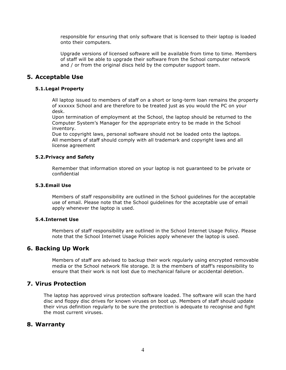responsible for ensuring that only software that is licensed to their laptop is loaded onto their computers.

 Upgrade versions of licensed software will be available from time to time. Members of staff will be able to upgrade their software from the School computer network and / or from the original discs held by the computer support team.

## **5. Acceptable Use**

### **5.1.Legal Property**

 All laptop issued to members of staff on a short or long-term loan remains the property of xxxxxx School and are therefore to be treated just as you would the PC on your desk.

 Upon termination of employment at the School, the laptop should be returned to the Computer System's Manager for the appropriate entry to be made in the School inventory.

 Due to copyright laws, personal software should not be loaded onto the laptops. All members of staff should comply with all trademark and copyright laws and all license agreement

#### **5.2.Privacy and Safety**

 Remember that information stored on your laptop is not guaranteed to be private or confidential

#### **5.3.Email Use**

 Members of staff responsibility are outlined in the School guidelines for the acceptable use of email. Please note that the School guidelines for the acceptable use of email apply whenever the laptop is used.

#### **5.4.Internet Use**

 Members of staff responsibility are outlined in the School Internet Usage Policy. Please note that the School Internet Usage Policies apply whenever the laptop is used.

## **6. Backing Up Work**

 Members of staff are advised to backup their work regularly using encrypted removable media or the School network file storage. It is the members of staff's responsibility to ensure that their work is not lost due to mechanical failure or accidental deletion.

## **7. Virus Protection**

 The laptop has approved virus protection software loaded. The software will scan the hard disc and floppy disc drives for known viruses on boot up. Members of staff should update their virus definition regularly to be sure the protection is adequate to recognise and fight the most current viruses.

## **8. Warranty**